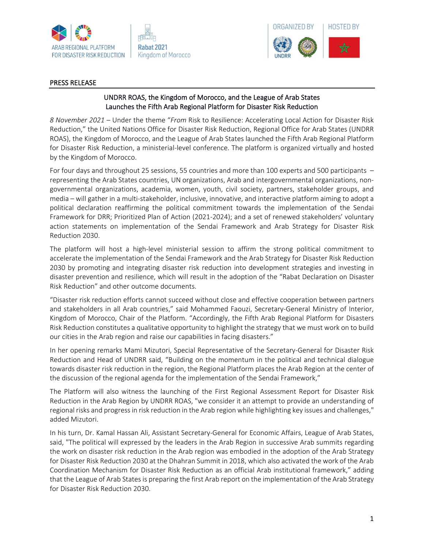



## PRESS RELEASE

## UNDRR ROAS, the Kingdom of Morocco, and the League of Arab States Launches the Fifth Arab Regional Platform for Disaster Risk Reduction

*8 November 2021 –* Under the theme "*From* Risk to Resilience: Accelerating Local Action for Disaster Risk Reduction," the United Nations Office for Disaster Risk Reduction, Regional Office for Arab States (UNDRR ROAS), the Kingdom of Morocco, and the League of Arab States launched the Fifth Arab Regional Platform for Disaster Risk Reduction, a ministerial-level conference. The platform is organized virtually and hosted by the Kingdom of Morocco.

For four days and throughout 25 sessions, 55 countries and more than 100 experts and 500 participants – representing the Arab States countries, UN organizations, Arab and intergovernmental organizations, nongovernmental organizations, academia, women, youth, civil society, partners, stakeholder groups, and media – will gather in a multi-stakeholder, inclusive, innovative, and interactive platform aiming to adopt a political declaration reaffirming the political commitment towards the implementation of the Sendai Framework for DRR; Prioritized Plan of Action (2021-2024); and a set of renewed stakeholders' voluntary action statements on implementation of the Sendai Framework and Arab Strategy for Disaster Risk Reduction 2030.

The platform will host a high-level ministerial session to affirm the strong political commitment to accelerate the implementation of the Sendai Framework and the Arab Strategy for Disaster Risk Reduction 2030 by promoting and integrating disaster risk reduction into development strategies and investing in disaster prevention and resilience, which will result in the adoption of the "Rabat Declaration on Disaster Risk Reduction" and other outcome documents.

"Disaster risk reduction efforts cannot succeed without close and effective cooperation between partners and stakeholders in all Arab countries," said Mohammed Faouzi, Secretary-General Ministry of Interior, Kingdom of Morocco, Chair of the Platform. "Accordingly, the Fifth Arab Regional Platform for Disasters Risk Reduction constitutes a qualitative opportunity to highlight the strategy that we must work on to build our cities in the Arab region and raise our capabilities in facing disasters."

In her opening remarks Mami Mizutori, Special Representative of the Secretary-General for Disaster Risk Reduction and Head of UNDRR said, "Building on the momentum in the political and technical dialogue towards disaster risk reduction in the region, the Regional Platform places the Arab Region at the center of the discussion of the regional agenda for the implementation of the Sendai Framework,"

The Platform will also witness the launching of the First Regional Assessment Report for Disaster Risk Reduction in the Arab Region by UNDRR ROAS, "we consider it an attempt to provide an understanding of regional risks and progress in risk reduction in the Arab region while highlighting key issues and challenges," added Mizutori.

In his turn, Dr. Kamal Hassan Ali, Assistant Secretary-General for Economic Affairs, League of Arab States, said, "The political will expressed by the leaders in the Arab Region in successive Arab summits regarding the work on disaster risk reduction in the Arab region was embodied in the adoption of the Arab Strategy for Disaster Risk Reduction 2030 at the Dhahran Summit in 2018, which also activated the work of the Arab Coordination Mechanism for Disaster Risk Reduction as an official Arab institutional framework," adding that the League of Arab States is preparing the first Arab report on the implementation of the Arab Strategy for Disaster Risk Reduction 2030.